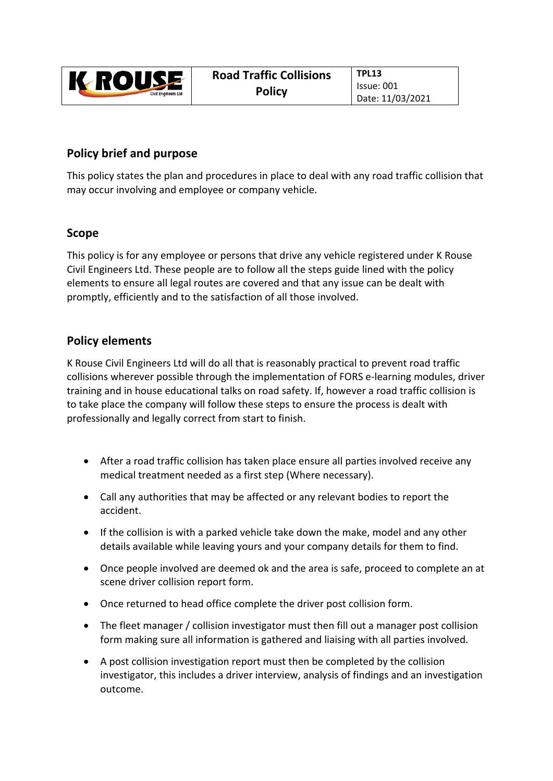| <b>Y ROUSE</b><br><b>Civil Engineers Ltd</b> | <b>Road Traffic Collisions</b> | TPL13            |
|----------------------------------------------|--------------------------------|------------------|
|                                              | Issue: 001<br><b>Policy</b>    | Date: 11/03/2021 |

## **Policy brief and purpose**

This policy states the plan and procedures in place to deal with any road traffic collision that may occur involving and employee or company vehicle.

## **Scope**

This policy is for any employee or persons that drive any vehicle registered under K Rouse Civil Engineers Ltd. These people are to follow all the steps guide lined with the policy elements to ensure all legal routes are covered and that any issue can be dealt with promptly, efficiently and to the satisfaction of all those involved.

## **Policy elements**

K Rouse Civil Engineers Ltd will do all that is reasonably practical to prevent road traffic collisions wherever possible through the implementation of FORS e‐learning modules, driver training and in house educational talks on road safety. If, however a road traffic collision is to take place the company will follow these steps to ensure the process is dealt with professionally and legally correct from start to finish.

- After a road traffic collision has taken place ensure all parties involved receive any medical treatment needed as a first step (Where necessary).
- Call any authorities that may be affected or any relevant bodies to report the accident.
- If the collision is with a parked vehicle take down the make, model and any other details available while leaving yours and your company details for them to find.
- Once people involved are deemed ok and the area is safe, proceed to complete an at scene driver collision report form.
- Once returned to head office complete the driver post collision form.
- The fleet manager / collision investigator must then fill out a manager post collision form making sure all information is gathered and liaising with all parties involved.
- A post collision investigation report must then be completed by the collision investigator, this includes a driver interview, analysis of findings and an investigation outcome.